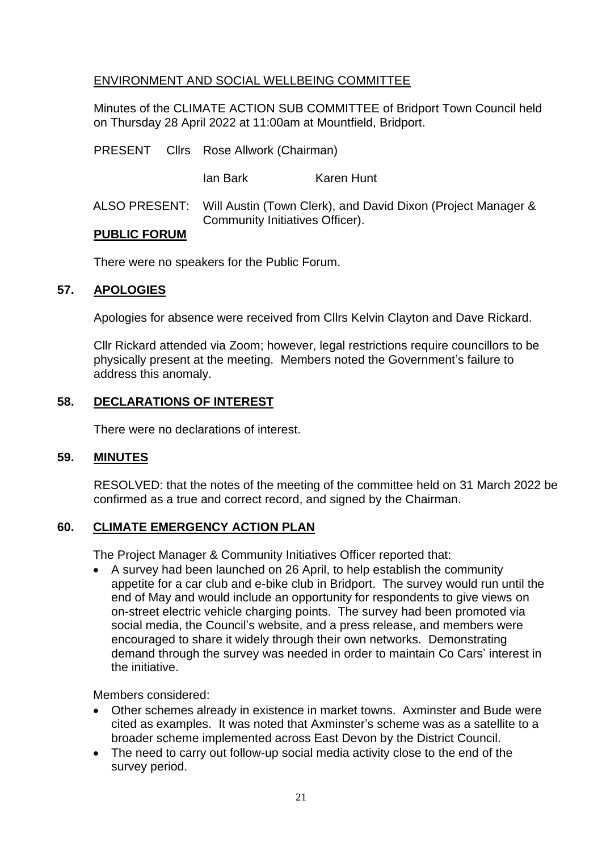## ENVIRONMENT AND SOCIAL WELLBEING COMMITTEE

Minutes of the CLIMATE ACTION SUB COMMITTEE of Bridport Town Council held on Thursday 28 April 2022 at 11:00am at Mountfield, Bridport.

|                     |  | PRESENT Cllrs Rose Allwork (Chairman)                                                                         |                   |
|---------------------|--|---------------------------------------------------------------------------------------------------------------|-------------------|
|                     |  | lan Bark                                                                                                      | <b>Karen Hunt</b> |
|                     |  | ALSO PRESENT: Will Austin (Town Clerk), and David Dixon (Project Manager &<br>Community Initiatives Officer). |                   |
| <b>PUBLIC FORUM</b> |  |                                                                                                               |                   |

There were no speakers for the Public Forum.

#### **57. APOLOGIES**

Apologies for absence were received from Cllrs Kelvin Clayton and Dave Rickard.

Cllr Rickard attended via Zoom; however, legal restrictions require councillors to be physically present at the meeting. Members noted the Government's failure to address this anomaly.

## **58. DECLARATIONS OF INTEREST**

There were no declarations of interest.

## **59. MINUTES**

RESOLVED: that the notes of the meeting of the committee held on 31 March 2022 be confirmed as a true and correct record, and signed by the Chairman.

## **60. CLIMATE EMERGENCY ACTION PLAN**

The Project Manager & Community Initiatives Officer reported that:

• A survey had been launched on 26 April, to help establish the community appetite for a car club and e-bike club in Bridport. The survey would run until the end of May and would include an opportunity for respondents to give views on on-street electric vehicle charging points. The survey had been promoted via social media, the Council's website, and a press release, and members were encouraged to share it widely through their own networks. Demonstrating demand through the survey was needed in order to maintain Co Cars' interest in the initiative.

Members considered:

- Other schemes already in existence in market towns. Axminster and Bude were cited as examples. It was noted that Axminster's scheme was as a satellite to a broader scheme implemented across East Devon by the District Council.
- The need to carry out follow-up social media activity close to the end of the survey period.